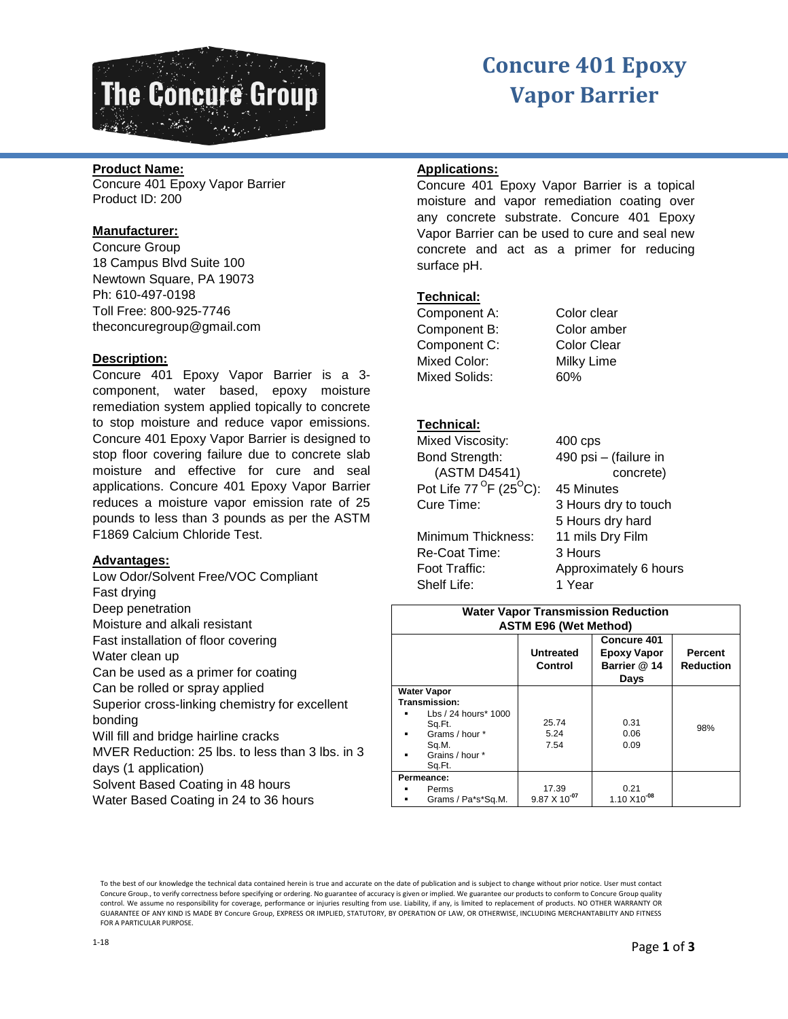

# **Concure 401 Epoxy Vapor Barrier**

# **Product Name:**

Concure 401 Epoxy Vapor Barrier Product ID: 200

#### **Manufacturer:**

Concure Group 18 Campus Blvd Suite 100 Newtown Square, PA 19073 Ph: 610-497-0198 Toll Free: 800-925-7746 theconcuregroup@gmail.com

# **Description:**

Concure 401 Epoxy Vapor Barrier is a 3 component, water based, epoxy moisture remediation system applied topically to concrete to stop moisture and reduce vapor emissions. Concure 401 Epoxy Vapor Barrier is designed to stop floor covering failure due to concrete slab moisture and effective for cure and seal applications. Concure 401 Epoxy Vapor Barrier reduces a moisture vapor emission rate of 25 pounds to less than 3 pounds as per the ASTM F1869 Calcium Chloride Test.

#### **Advantages:**

Low Odor/Solvent Free/VOC Compliant Fast drying Deep penetration Moisture and alkali resistant Fast installation of floor covering Water clean up Can be used as a primer for coating Can be rolled or spray applied Superior cross-linking chemistry for excellent bonding Will fill and bridge hairline cracks MVER Reduction: 25 lbs. to less than 3 lbs. in 3 days (1 application) Solvent Based Coating in 48 hours

Water Based Coating in 24 to 36 hours

# **Applications:**

Concure 401 Epoxy Vapor Barrier is a topical moisture and vapor remediation coating over any concrete substrate. Concure 401 Epoxy Vapor Barrier can be used to cure and seal new concrete and act as a primer for reducing surface pH.

# **Technical:**

Component A: Color clear Component B: Color amber Component C: Color Clear Mixed Color: Milky Lime Mixed Solids: 60%

# **Technical:**

| Mixed Viscosity:                             | $400$ cps             |  |
|----------------------------------------------|-----------------------|--|
| Bond Strength:                               | 490 psi - (failure in |  |
| (ASTM D4541)                                 | concrete)             |  |
| Pot Life $77^{\circ}$ F (25 <sup>o</sup> C): | 45 Minutes            |  |
| Cure Time:                                   | 3 Hours dry to touch  |  |
|                                              | 5 Hours dry hard      |  |
| Minimum Thickness:                           | 11 mils Dry Film      |  |
| Re-Coat Time:                                | 3 Hours               |  |
| Foot Traffic:                                | Approximately 6 hours |  |
| Shelf Life:                                  | 1 Year                |  |

| <b>Water Vapor Transmission Reduction</b><br><b>ASTM E96 (Wet Method)</b>                                                               |                                 |                                                           |                                    |
|-----------------------------------------------------------------------------------------------------------------------------------------|---------------------------------|-----------------------------------------------------------|------------------------------------|
|                                                                                                                                         | <b>Untreated</b><br>Control     | Concure 401<br><b>Epoxy Vapor</b><br>Barrier @ 14<br>Days | <b>Percent</b><br><b>Reduction</b> |
| <b>Water Vapor</b><br>Transmission:<br>Lbs / 24 hours* 1000<br>Sq.Ft.<br>Grams / hour *<br>٠<br>Sq.M.<br>Grains / hour *<br>٠<br>Sq.Ft. | 25.74<br>5.24<br>7.54           | 0.31<br>0.06<br>0.09                                      | 98%                                |
| Permeance:<br>Perms<br>Grams / Pa*s*Sq.M.                                                                                               | 17.39<br>$9.87 \times 10^{-07}$ | 0.21<br>1.10 X10 <sup>-08</sup>                           |                                    |

To the best of our knowledge the technical data contained herein is true and accurate on the date of publication and is subject to change without prior notice. User must contact Concure Group., to verify correctness before specifying or ordering. No guarantee of accuracy is given or implied. We guarantee our products to conform to Concure Group quality control. We assume no responsibility for coverage, performance or injuries resulting from use. Liability, if any, is limited to replacement of products. NO OTHER WARRANTY OR GUARANTEE OF ANY KIND IS MADE BY Concure Group, EXPRESS OR IMPLIED, STATUTORY, BY OPERATION OF LAW, OR OTHERWISE, INCLUDING MERCHANTABILITY AND FITNESS FOR A PARTICULAR PURPOSE.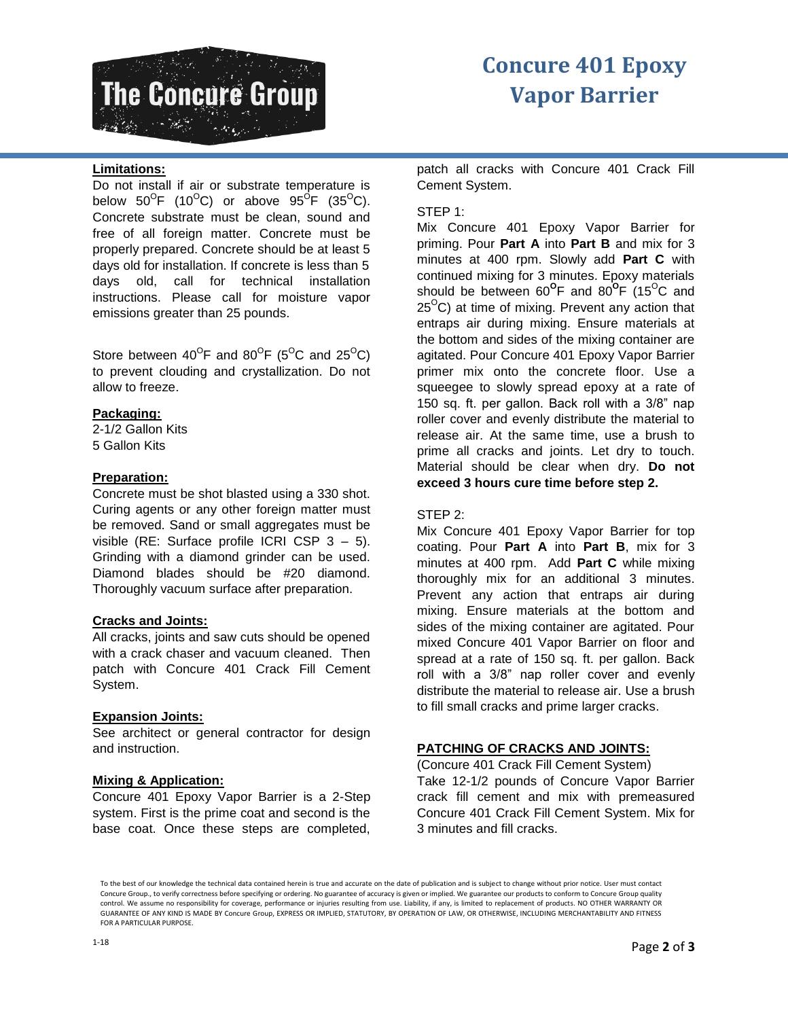

# **Concure 401 Epoxy Vapor Barrier**

# **Limitations:**

Do not install if air or substrate temperature is below 50 $^{\mathrm{O}}$ F (10 $^{\mathrm{O}}$ C) or above 95 $^{\mathrm{O}}$ F (35 $^{\mathrm{O}}$ C). Concrete substrate must be clean, sound and free of all foreign matter. Concrete must be properly prepared. Concrete should be at least 5 days old for installation. If concrete is less than 5 days old, call for technical installation instructions. Please call for moisture vapor emissions greater than 25 pounds.

Store between 40<sup>o</sup>F and 80<sup>o</sup>F (5<sup>o</sup>C and 25<sup>o</sup>C) to prevent clouding and crystallization. Do not allow to freeze.

#### **Packaging:**

2-1/2 Gallon Kits 5 Gallon Kits

# **Preparation:**

Concrete must be shot blasted using a 330 shot. Curing agents or any other foreign matter must be removed. Sand or small aggregates must be visible (RE: Surface profile ICRI CSP 3 – 5). Grinding with a diamond grinder can be used. Diamond blades should be #20 diamond. Thoroughly vacuum surface after preparation.

#### **Cracks and Joints:**

All cracks, joints and saw cuts should be opened with a crack chaser and vacuum cleaned. Then patch with Concure 401 Crack Fill Cement System.

#### **Expansion Joints:**

See architect or general contractor for design and instruction.

#### **Mixing & Application:**

Concure 401 Epoxy Vapor Barrier is a 2-Step system. First is the prime coat and second is the base coat. Once these steps are completed,

patch all cracks with Concure 401 Crack Fill Cement System.

# STEP 1:

Mix Concure 401 Epoxy Vapor Barrier for priming. Pour **Part A** into **Part B** and mix for 3 minutes at 400 rpm. Slowly add **Part C** with continued mixing for 3 minutes. Epoxy materials should be between 60<sup>o</sup>F and 80<sup>o</sup>F (15<sup>o</sup>C and  $25^{\circ}$ C) at time of mixing. Prevent any action that entraps air during mixing. Ensure materials at the bottom and sides of the mixing container are agitated. Pour Concure 401 Epoxy Vapor Barrier primer mix onto the concrete floor. Use a squeegee to slowly spread epoxy at a rate of 150 sq. ft. per gallon. Back roll with a 3/8" nap roller cover and evenly distribute the material to release air. At the same time, use a brush to prime all cracks and joints. Let dry to touch. Material should be clear when dry. **Do not exceed 3 hours cure time before step 2.**

# STEP 2:

Mix Concure 401 Epoxy Vapor Barrier for top coating. Pour **Part A** into **Part B**, mix for 3 minutes at 400 rpm. Add **Part C** while mixing thoroughly mix for an additional 3 minutes. Prevent any action that entraps air during mixing. Ensure materials at the bottom and sides of the mixing container are agitated. Pour mixed Concure 401 Vapor Barrier on floor and spread at a rate of 150 sq. ft. per gallon. Back roll with a 3/8" nap roller cover and evenly distribute the material to release air. Use a brush to fill small cracks and prime larger cracks.

# **PATCHING OF CRACKS AND JOINTS:**

(Concure 401 Crack Fill Cement System) Take 12-1/2 pounds of Concure Vapor Barrier crack fill cement and mix with premeasured Concure 401 Crack Fill Cement System. Mix for 3 minutes and fill cracks.

To the best of our knowledge the technical data contained herein is true and accurate on the date of publication and is subject to change without prior notice. User must contact Concure Group., to verify correctness before specifying or ordering. No guarantee of accuracy is given or implied. We guarantee our products to conform to Concure Group quality control. We assume no responsibility for coverage, performance or injuries resulting from use. Liability, if any, is limited to replacement of products. NO OTHER WARRANTY OR GUARANTEE OF ANY KIND IS MADE BY Concure Group, EXPRESS OR IMPLIED, STATUTORY, BY OPERATION OF LAW, OR OTHERWISE, INCLUDING MERCHANTABILITY AND FITNESS FOR A PARTICULAR PURPOSE.